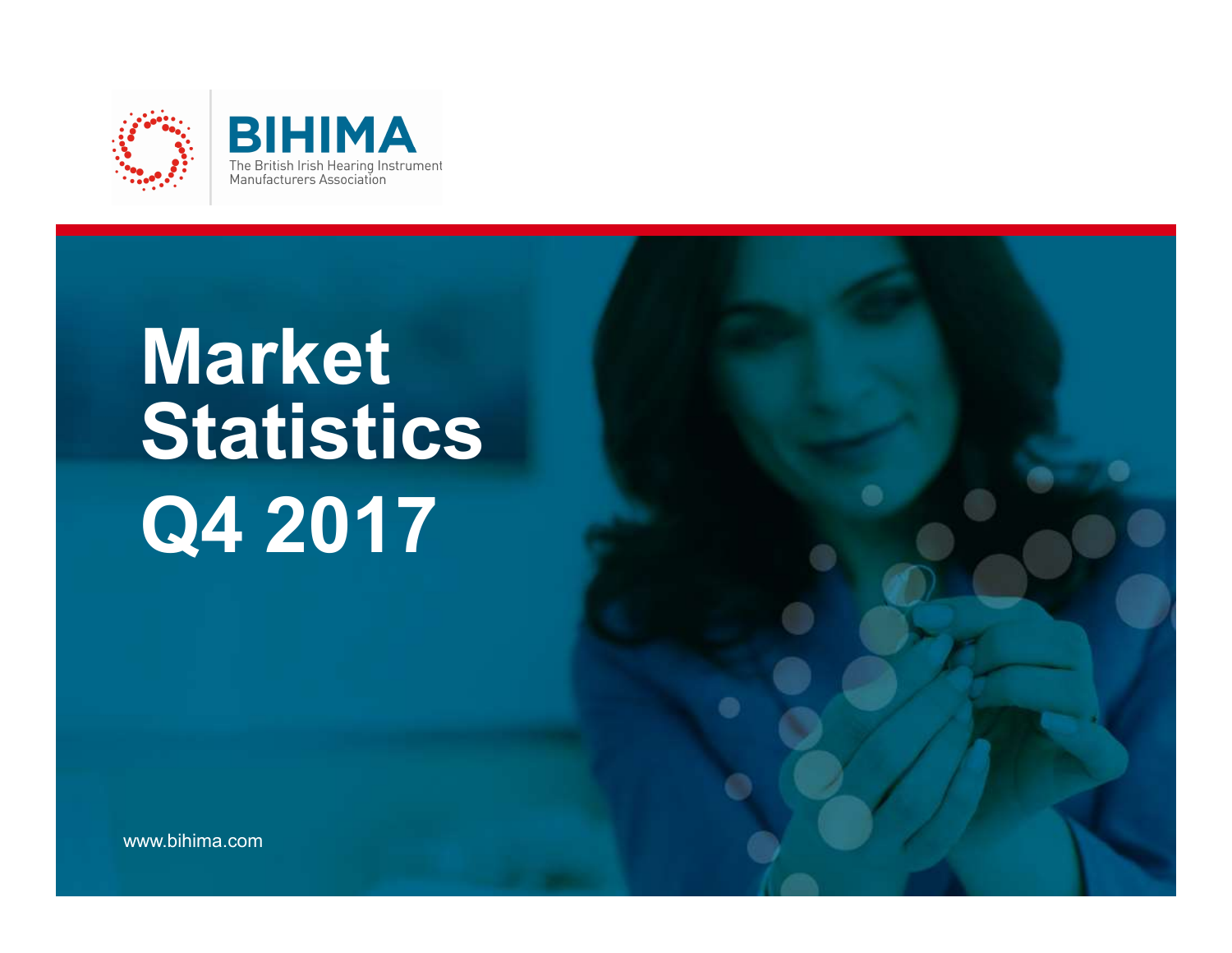



# Market Statistics Q4 2017

The Voice of Hearing Technology.

www.bihima.com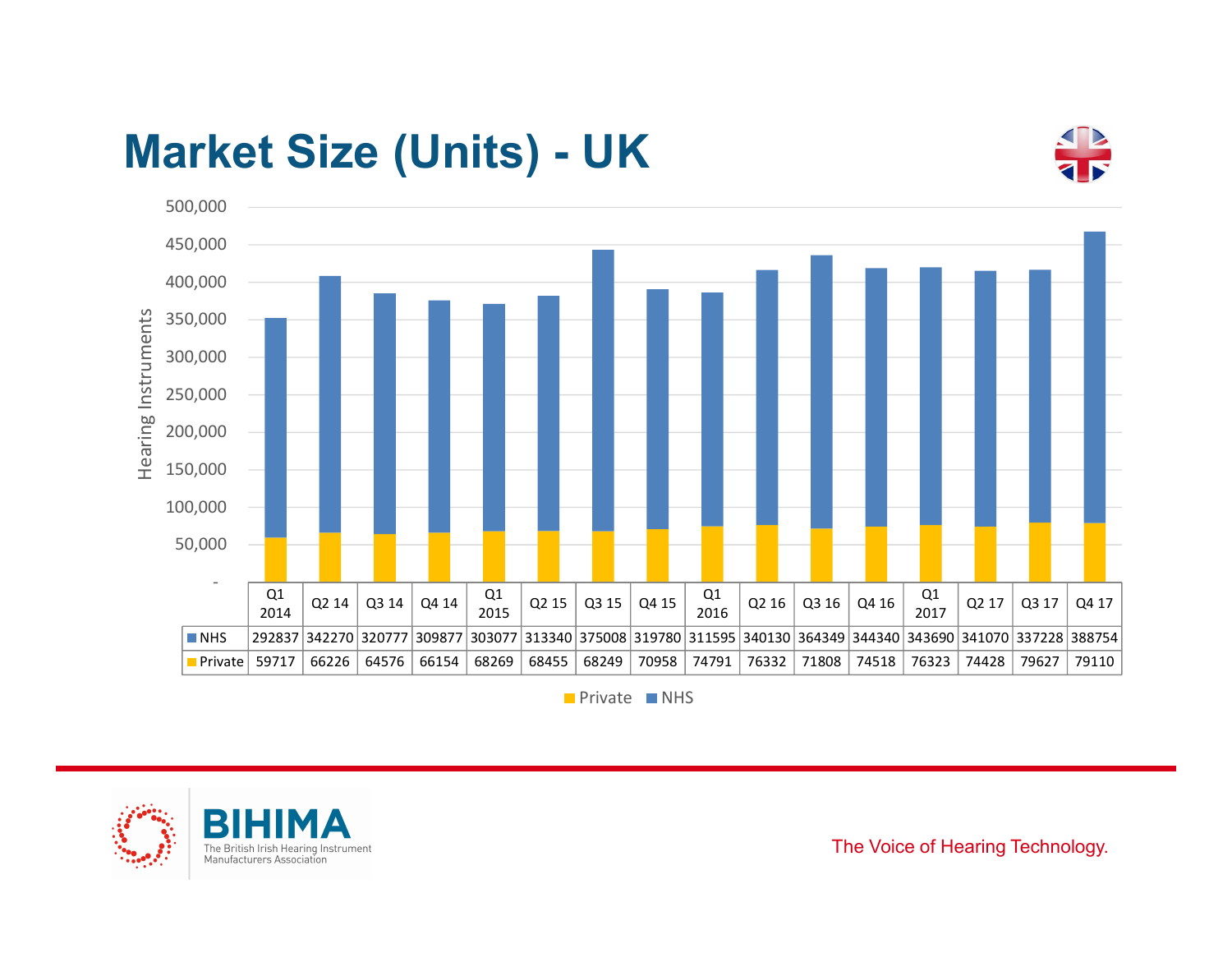



**Private** NHS



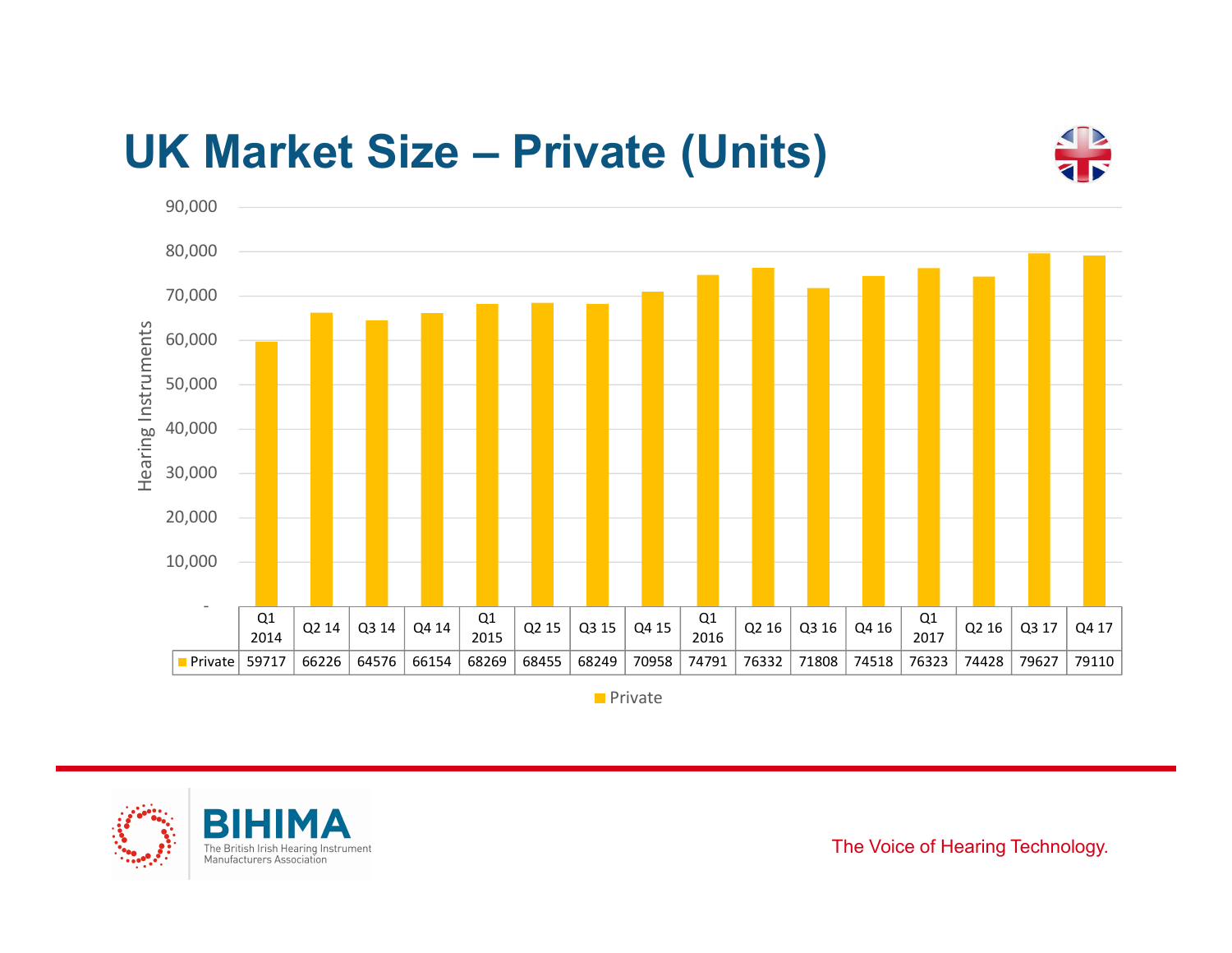



**Private** 



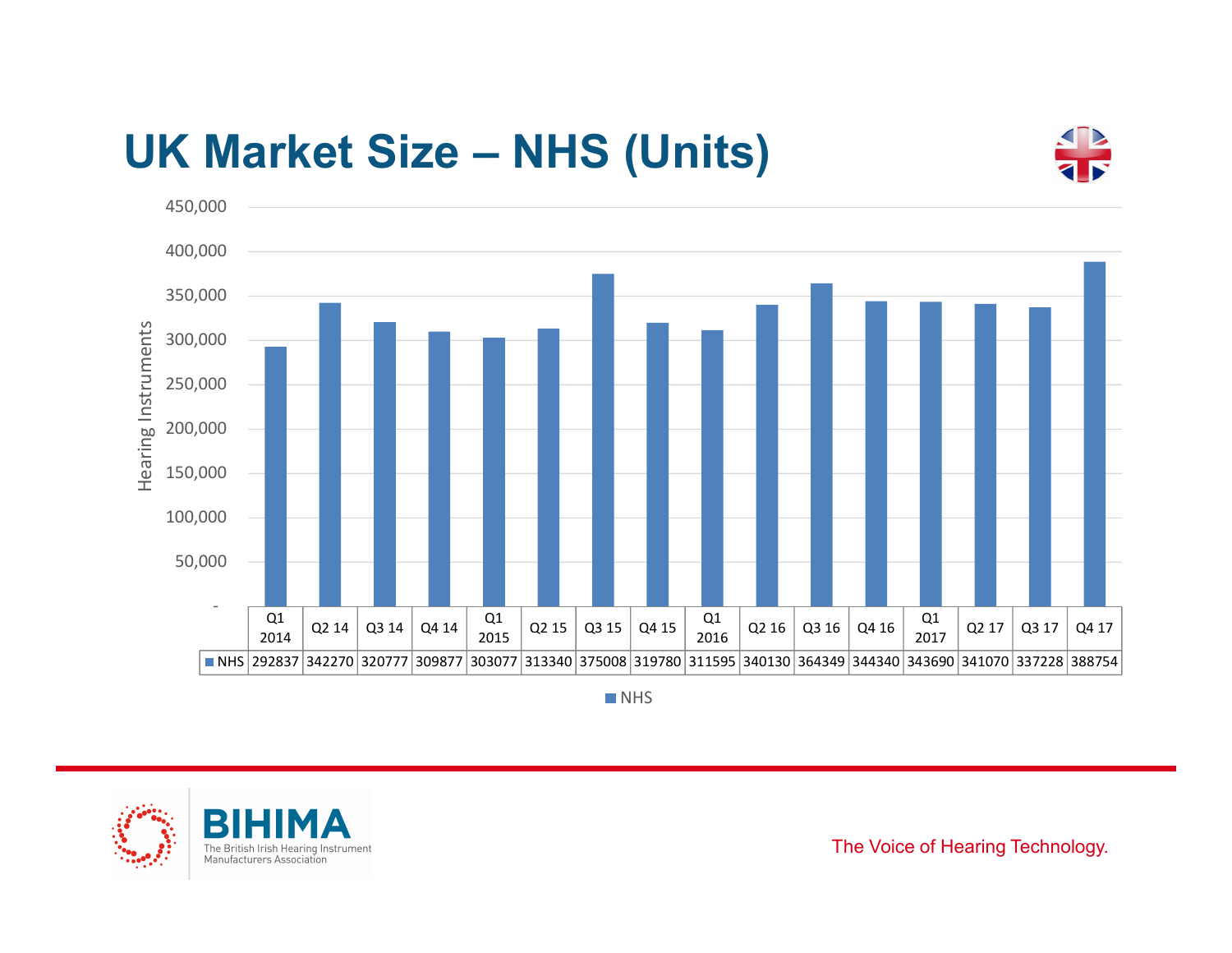



**NHS** 



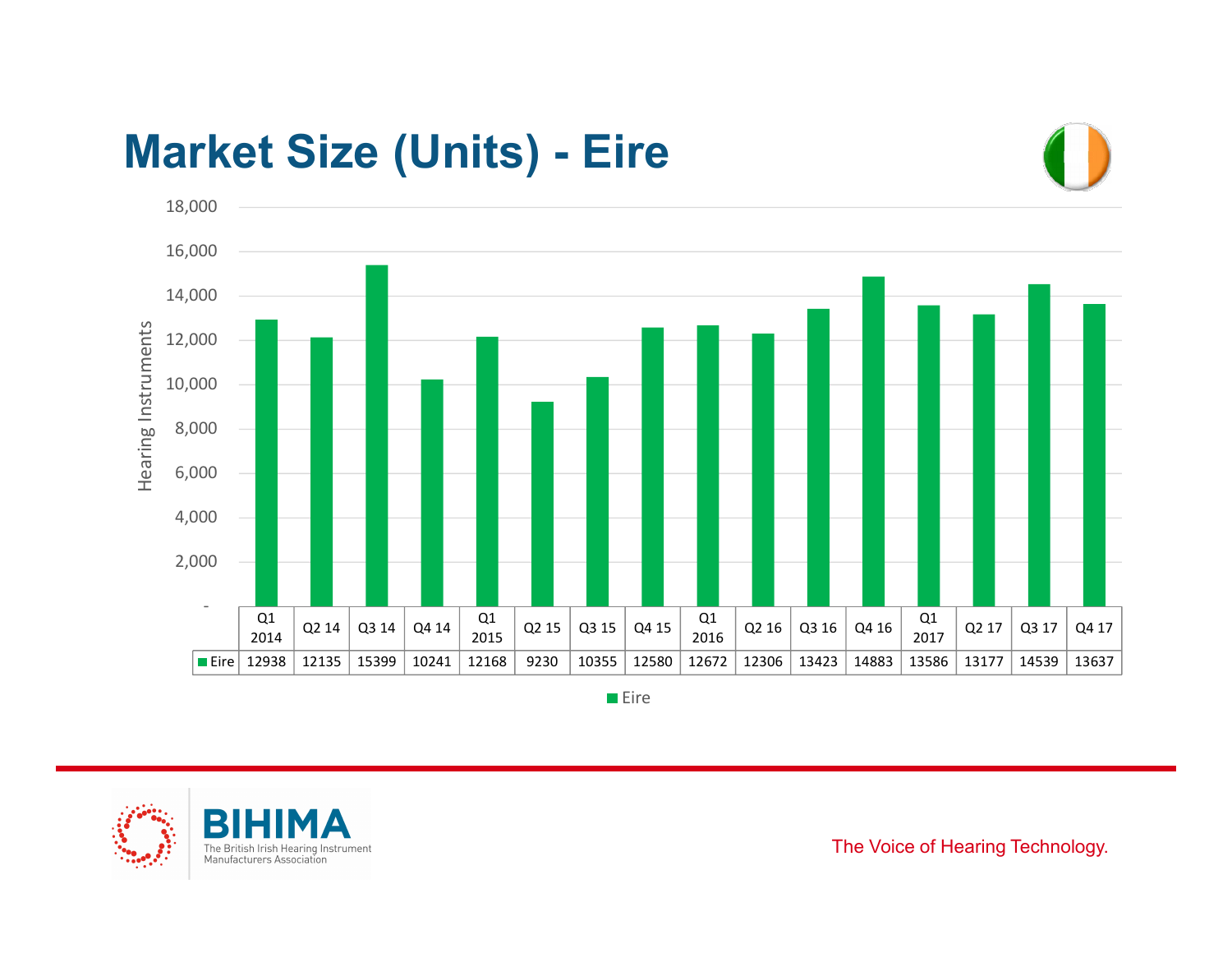



**Eire** 



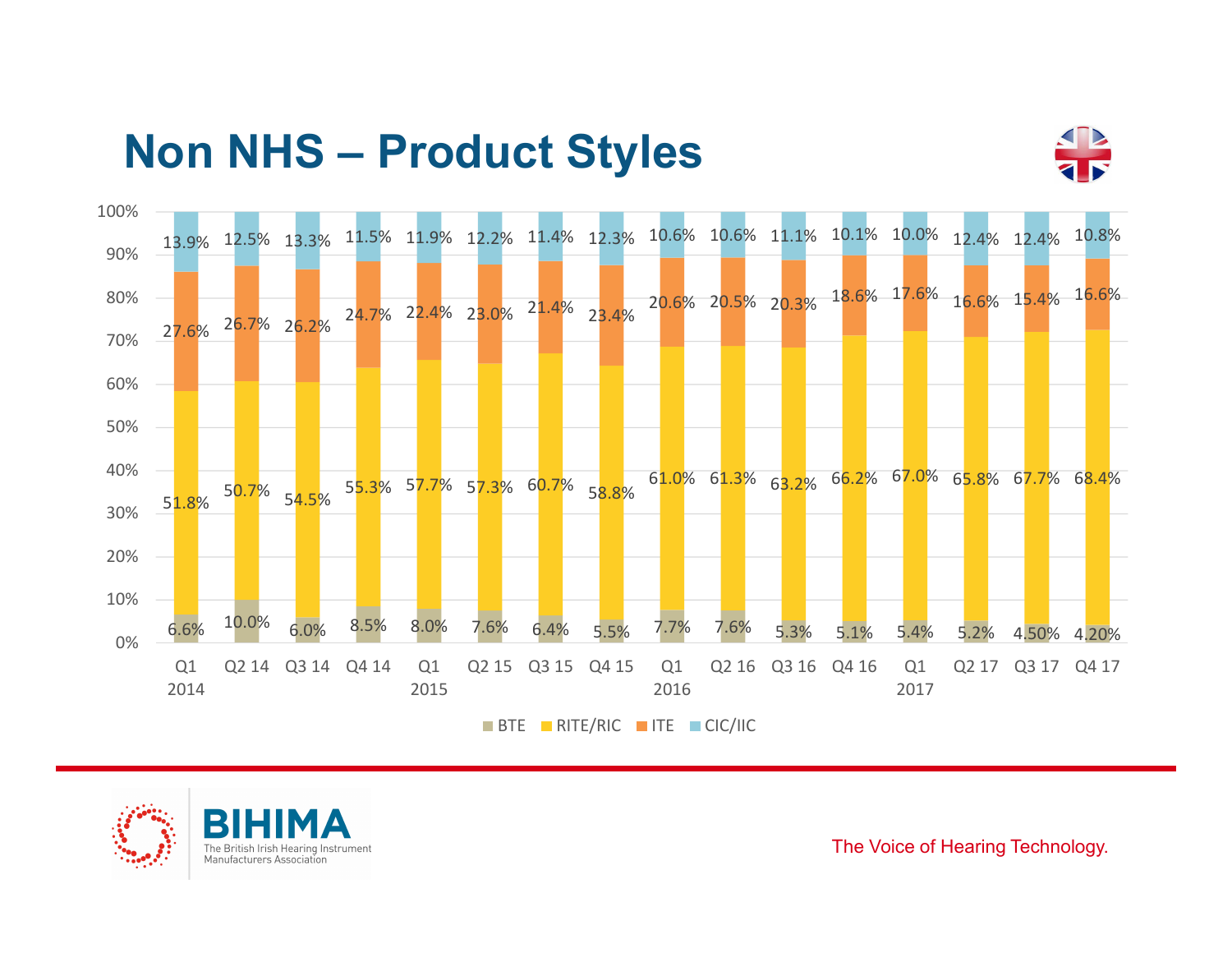



BTE RITE/RIC TTE CIC/IIC



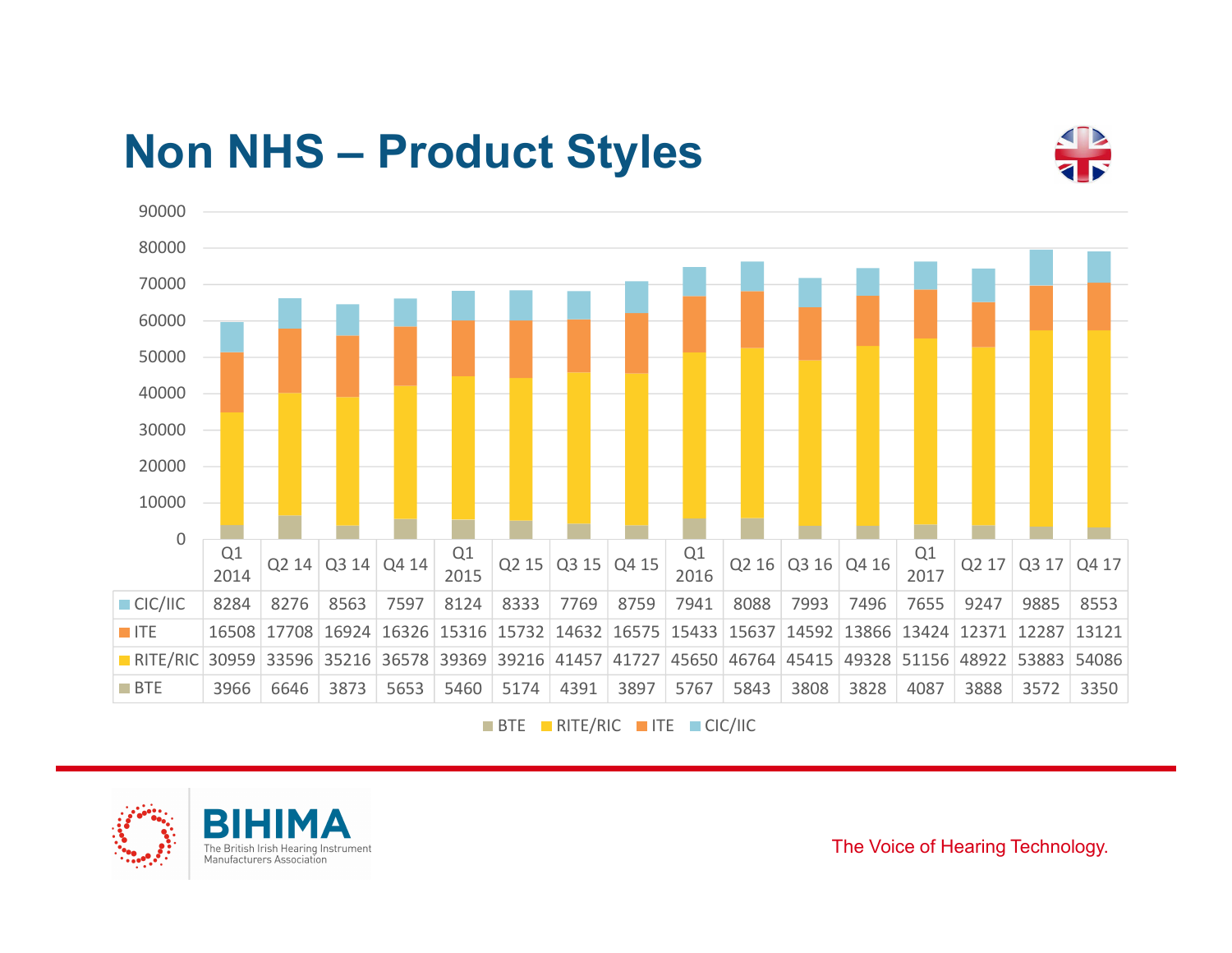



BTE RITE/RIC TITE CIC/IIC



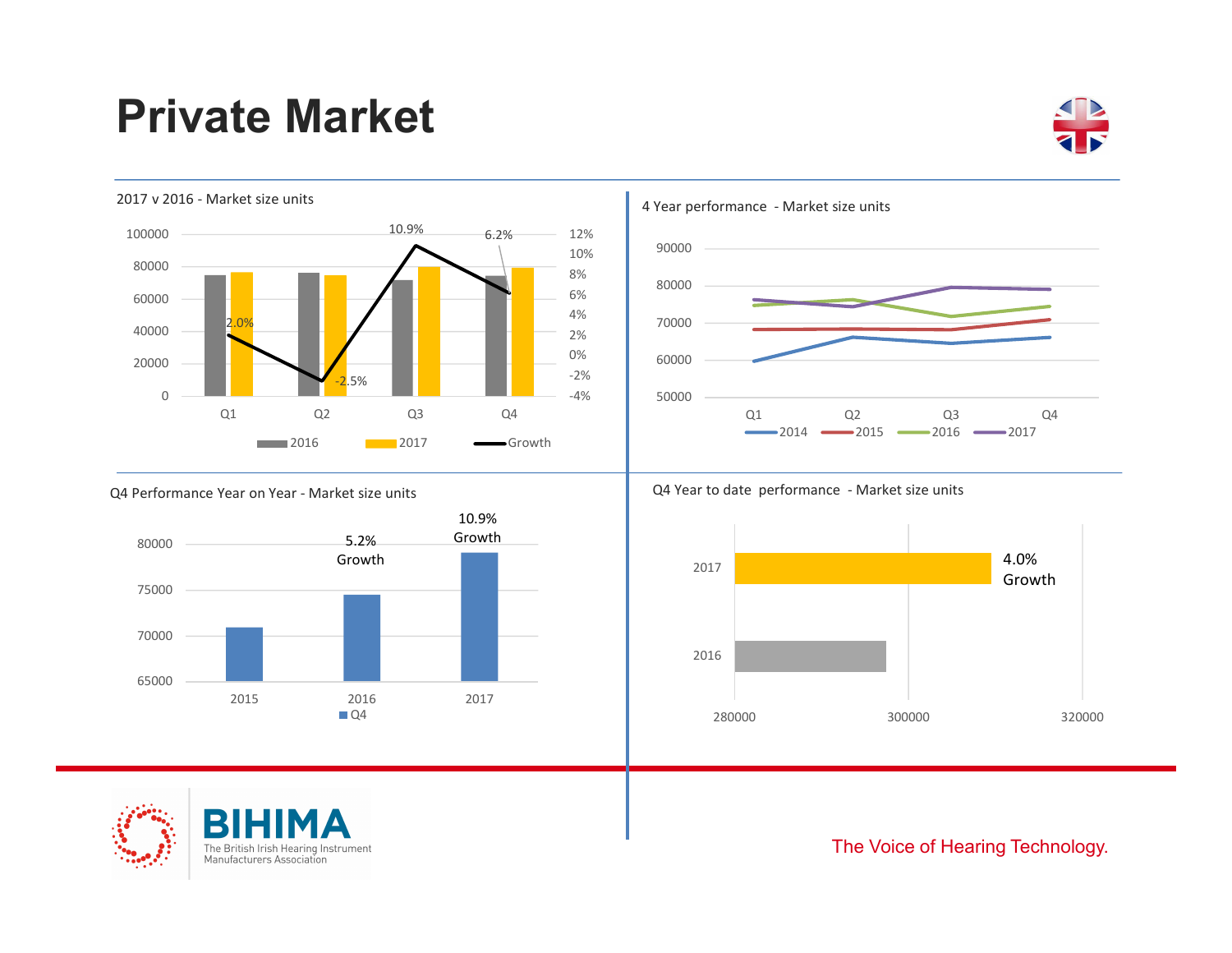## Private Market